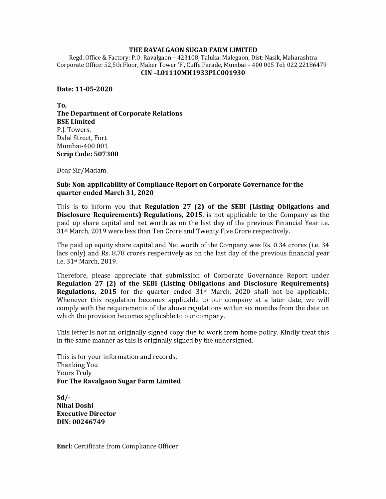## THE RAVALGAON SUGAR FARM LIMITED

Regd. Office & Factory: P.O. Ravalgaon - 423108, Taluka: Malegaon, Dist: Nasik, Maharashtra Corporate Office: 52,5th Floor, Maker Tower 'F', Cuffe Parade, Mumbai - 400 005 Tel: 022 22186479 CIN -L01110MH1933PLC001930

Date: 11-05-2020

To, The Department of Corporate Relations BSE Limited P.J. Towers, Dalal Street, Fort Mumbai-400 001 Scrip Code: 507300

Dear Sir/Madam,

## Sub: Non-applicability of Compliance Report on Corporate Governance for the quarter ended March 31, 2020

This is to inform you that Regulation 27 (2) of the SEBI (Listing Obligations and Disclosure Requirements) Regulations, 2015, is not applicable to the Company as the paid up share capital and net worth as on the last day of the previous Financial Year i.e. 31<sup>st</sup> March, 2019 were less than Ten Crore and Twenty Five Crore respectively.

The paid up equity share capital and Net worth of the Company was Rs. 0.34 crores (i.e. 34 lacs only) and Rs. 8.78 crores respectively as on the last day of the previous financial year ie. 31st March, 2019.

Therefore, please appreciate that submission of Corporate Governance Report under Regulation 27 (2) of the SEBI (Listing Obligations and Disclosure Requirements) **Regulations, 2015** for the quarter ended  $31<sup>st</sup>$  March, 2020 shall not be applicable. Whenever this regulation becomes applicable to our company at a later date, we will comply with the requirements of the above regulations within six months from the date on which the provision becomes applicable to our company.

This letter is not an originally signed copy due to work from home policy. Kindly treat this in the same manner as this is originally signed by the undersigned.

This is for your information and records, Thanking You Yours Truly For The Ravalgaon Sugar Farm Limited

Sd/- Nihal Doshi Executive Director DIN: 00246749

Encl: Certificate from Compliance Officer